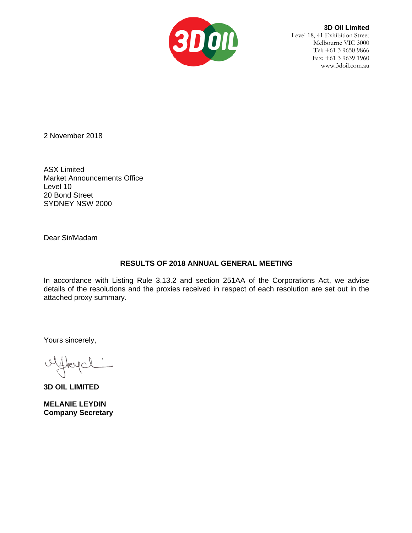

**3D Oil Limited** Level 18, 41 Exhibition Street Melbourne VIC 3000 Tel: +61 3 9650 9866 Fax: +61 3 9639 1960 www.3doil.com.au

2 November 2018

ASX Limited Market Announcements Office Level 10 20 Bond Street SYDNEY NSW 2000

Dear Sir/Madam

## **RESULTS OF 2018 ANNUAL GENERAL MEETING**

In accordance with Listing Rule 3.13.2 and section 251AA of the Corporations Act, we advise details of the resolutions and the proxies received in respect of each resolution are set out in the attached proxy summary.

Yours sincerely,

ufflexe

**3D OIL LIMITED**

**MELANIE LEYDIN Company Secretary**